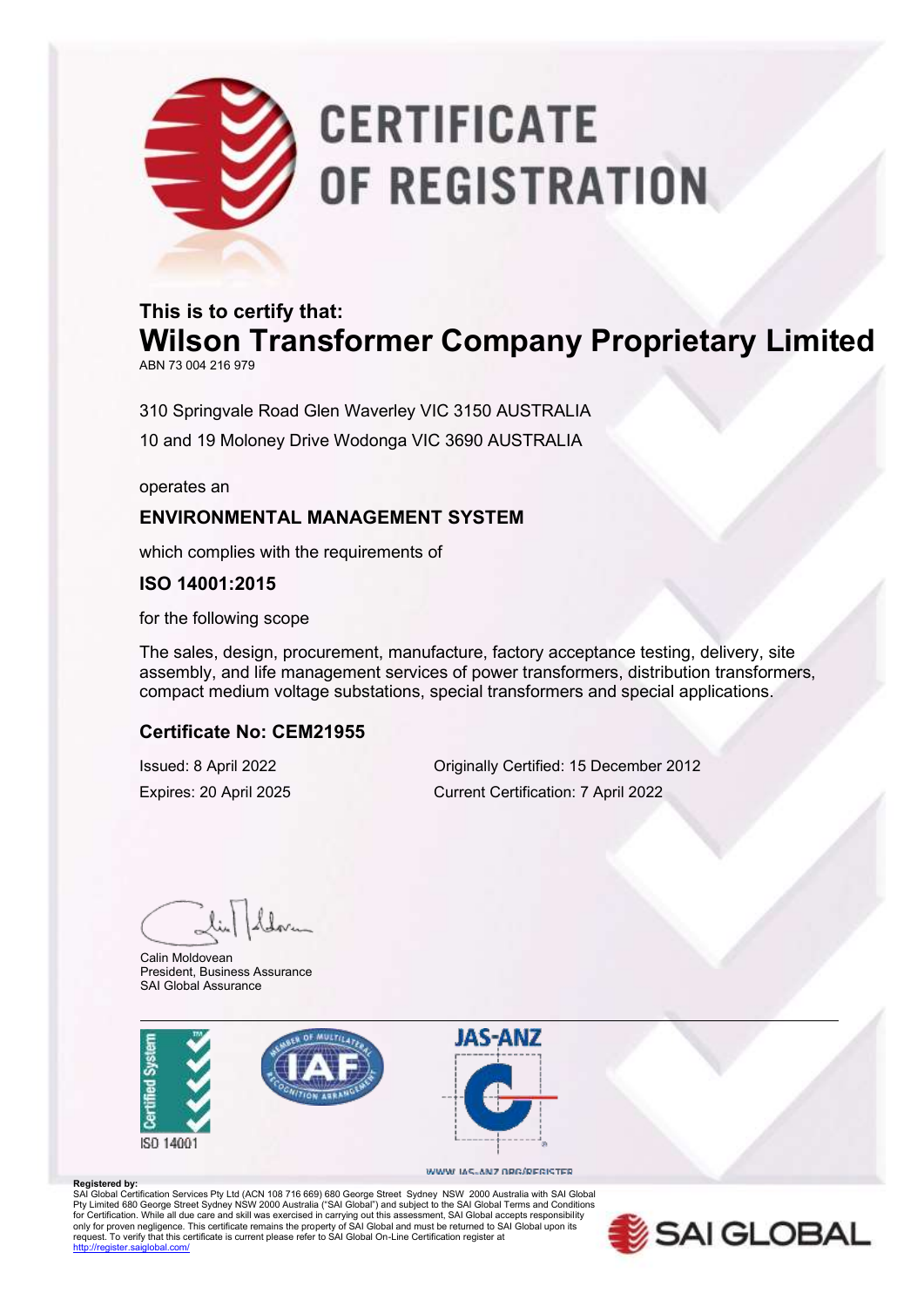# **CERTIFICATE** OF REGISTRATION

## **This is to certify that: Wilson Transformer Company Proprietary Limited**

ABN 73 004 216 979

310 Springvale Road Glen Waverley VIC 3150 AUSTRALIA 10 and 19 Moloney Drive Wodonga VIC 3690 AUSTRALIA

operates an

### **ENVIRONMENTAL MANAGEMENT SYSTEM**

which complies with the requirements of

**ISO 14001:2015**

for the following scope

The sales, design, procurement, manufacture, factory acceptance testing, delivery, site assembly, and life management services of power transformers, distribution transformers, compact medium voltage substations, special transformers and special applications.

#### **Certificate No: CEM21955**

Issued: 8 April 2022 Originally Certified: 15 December 2012 Expires: 20 April 2025 Current Certification: 7 April 2022

Calin Moldovean President, Business Assurance SAI Global Assurance





#### WWW.IAS-ANZ.ORG/REGISTER

**Registered by:**<br>SAI Global Certification Services Pty Ltd (ACN 108 716 669) 680 George Street Sydney NSW 2000 Australia with SAI Global Pty Limited 680 George Street Sydney NSW 2000 Australia ("SAI Global") and subject to the SAI Global Terms and Conditions<br>for Certification. While all due care and skill was exercised in carrying out this assessment, SAI G only for proven negligence. This certificate remains the property of SAI Global and must be returned to SAI Global upon its<br>request. To verify that this certificate is current please refer to SAI Global On-Line Certificati http://register.com/